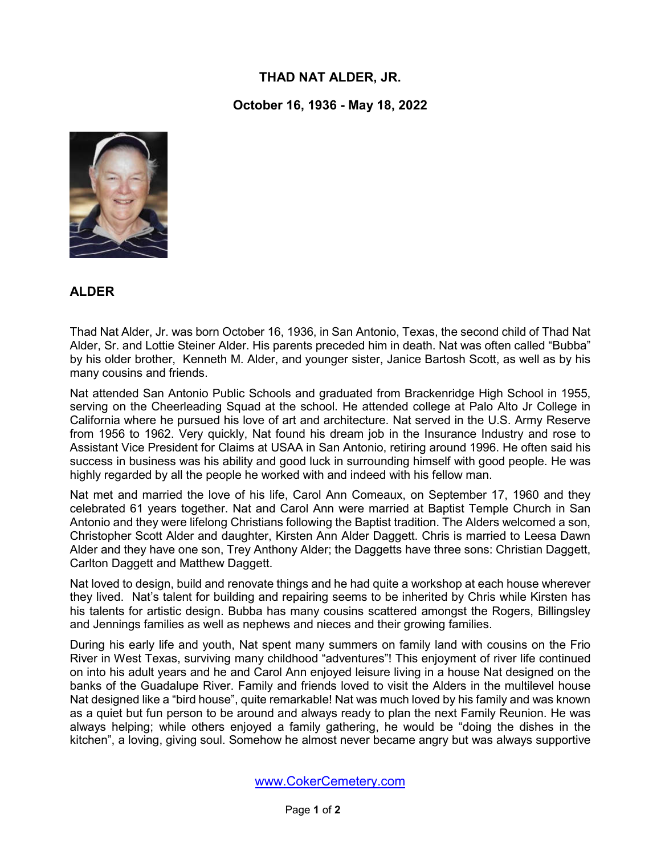## **THAD NAT ALDER, JR.**

**October 16, 1936 - May 18, 2022**



## **ALDER**

Thad Nat Alder, Jr. was born October 16, 1936, in San Antonio, Texas, the second child of Thad Nat Alder, Sr. and Lottie Steiner Alder. His parents preceded him in death. Nat was often called "Bubba" by his older brother, Kenneth M. Alder, and younger sister, Janice Bartosh Scott, as well as by his many cousins and friends.

Nat attended San Antonio Public Schools and graduated from Brackenridge High School in 1955, serving on the Cheerleading Squad at the school. He attended college at Palo Alto Jr College in California where he pursued his love of art and architecture. Nat served in the U.S. Army Reserve from 1956 to 1962. Very quickly, Nat found his dream job in the Insurance Industry and rose to Assistant Vice President for Claims at USAA in San Antonio, retiring around 1996. He often said his success in business was his ability and good luck in surrounding himself with good people. He was highly regarded by all the people he worked with and indeed with his fellow man.

Nat met and married the love of his life, Carol Ann Comeaux, on September 17, 1960 and they celebrated 61 years together. Nat and Carol Ann were married at Baptist Temple Church in San Antonio and they were lifelong Christians following the Baptist tradition. The Alders welcomed a son, Christopher Scott Alder and daughter, Kirsten Ann Alder Daggett. Chris is married to Leesa Dawn Alder and they have one son, Trey Anthony Alder; the Daggetts have three sons: Christian Daggett, Carlton Daggett and Matthew Daggett.

Nat loved to design, build and renovate things and he had quite a workshop at each house wherever they lived. Nat's talent for building and repairing seems to be inherited by Chris while Kirsten has his talents for artistic design. Bubba has many cousins scattered amongst the Rogers, Billingsley and Jennings families as well as nephews and nieces and their growing families.

During his early life and youth, Nat spent many summers on family land with cousins on the Frio River in West Texas, surviving many childhood "adventures"! This enjoyment of river life continued on into his adult years and he and Carol Ann enjoyed leisure living in a house Nat designed on the banks of the Guadalupe River. Family and friends loved to visit the Alders in the multilevel house Nat designed like a "bird house", quite remarkable! Nat was much loved by his family and was known as a quiet but fun person to be around and always ready to plan the next Family Reunion. He was always helping; while others enjoyed a family gathering, he would be "doing the dishes in the kitchen", a loving, giving soul. Somehow he almost never became angry but was always supportive

www.CokerCemetery.com